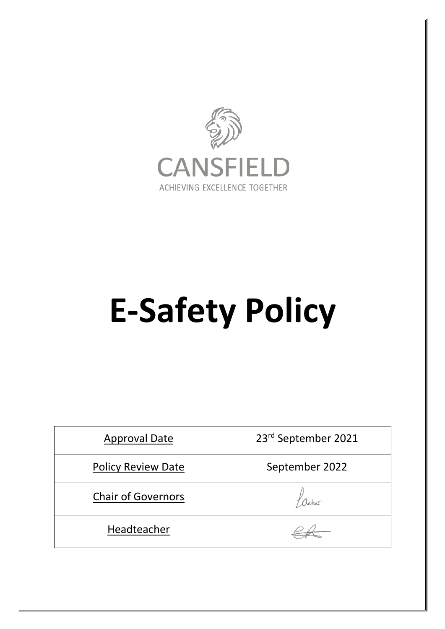

# **E-Safety Policy**

| <b>Approval Date</b>      | 23rd September 2021 |  |
|---------------------------|---------------------|--|
| <b>Policy Review Date</b> | September 2022      |  |
| <b>Chair of Governors</b> |                     |  |
| Headteacher               |                     |  |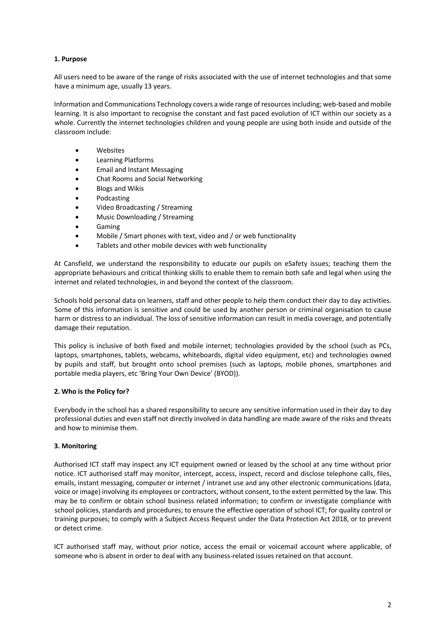# **1. Purpose**

All users need to be aware of the range of risks associated with the use of internet technologies and that some have a minimum age, usually 13 years.

Information and Communications Technology covers a wide range of resources including; web-based and mobile learning. It is also important to recognise the constant and fast paced evolution of ICT within our society as a whole. Currently the internet technologies children and young people are using both inside and outside of the classroom include:

- **Websites**
- Learning Platforms
- Email and Instant Messaging
- Chat Rooms and Social Networking
- Blogs and Wikis
- **Podcasting**
- Video Broadcasting / Streaming
- Music Downloading / Streaming
- Gaming
- Mobile / Smart phones with text, video and / or web functionality
- Tablets and other mobile devices with web functionality

At Cansfield, we understand the responsibility to educate our pupils on eSafety issues; teaching them the appropriate behaviours and critical thinking skills to enable them to remain both safe and legal when using the internet and related technologies, in and beyond the context of the classroom.

Schools hold personal data on learners, staff and other people to help them conduct their day to day activities. Some of this information is sensitive and could be used by another person or criminal organisation to cause harm or distress to an individual. The loss of sensitive information can result in media coverage, and potentially damage their reputation.

This policy is inclusive of both fixed and mobile internet; technologies provided by the school (such as PCs, laptops, smartphones, tablets, webcams, whiteboards, digital video equipment, etc) and technologies owned by pupils and staff, but brought onto school premises (such as laptops, mobile phones, smartphones and portable media players, etc 'Bring Your Own Device' (BYOD)).

#### **2. Who is the Policy for?**

Everybody in the school has a shared responsibility to secure any sensitive information used in their day to day professional duties and even staff not directly involved in data handling are made aware of the risks and threats and how to minimise them.

#### **3. Monitoring**

Authorised ICT staff may inspect any ICT equipment owned or leased by the school at any time without prior notice. ICT authorised staff may monitor, intercept, access, inspect, record and disclose telephone calls, files, emails, instant messaging, computer or internet / intranet use and any other electronic communications (data, voice or image) involving its employees or contractors, without consent, to the extent permitted by the law. This may be to confirm or obtain school business related information; to confirm or investigate compliance with school policies, standards and procedures; to ensure the effective operation of school ICT; for quality control or training purposes; to comply with a Subject Access Request under the Data Protection Act 2018, or to prevent or detect crime.

ICT authorised staff may, without prior notice, access the email or voicemail account where applicable, of someone who is absent in order to deal with any business-related issues retained on that account.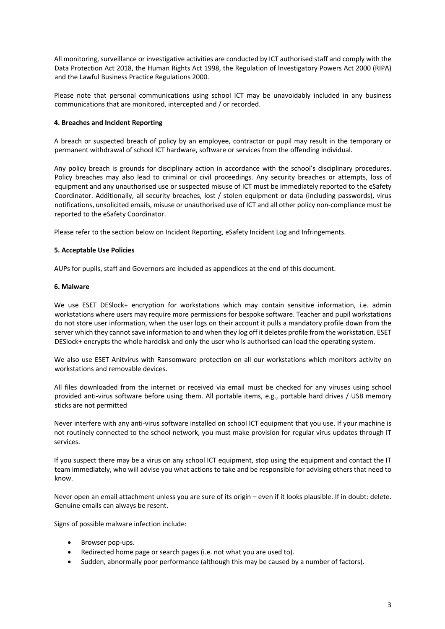All monitoring, surveillance or investigative activities are conducted by ICT authorised staff and comply with the Data Protection Act 2018, the Human Rights Act 1998, the Regulation of Investigatory Powers Act 2000 (RIPA) and the Lawful Business Practice Regulations 2000.

Please note that personal communications using school ICT may be unavoidably included in any business communications that are monitored, intercepted and / or recorded.

## **4. Breaches and Incident Reporting**

A breach or suspected breach of policy by an employee, contractor or pupil may result in the temporary or permanent withdrawal of school ICT hardware, software or services from the offending individual.

Any policy breach is grounds for disciplinary action in accordance with the school's disciplinary procedures. Policy breaches may also lead to criminal or civil proceedings. Any security breaches or attempts, loss of equipment and any unauthorised use or suspected misuse of ICT must be immediately reported to the eSafety Coordinator. Additionally, all security breaches, lost / stolen equipment or data (including passwords), virus notifications, unsolicited emails, misuse or unauthorised use of ICT and all other policy non-compliance must be reported to the eSafety Coordinator.

Please refer to the section below on Incident Reporting, eSafety Incident Log and Infringements.

# **5. Acceptable Use Policies**

AUPs for pupils, staff and Governors are included as appendices at the end of this document.

#### **6. Malware**

We use ESET DESlock+ encryption for workstations which may contain sensitive information, i.e. admin workstations where users may require more permissions for bespoke software. Teacher and pupil workstations do not store user information, when the user logs on their account it pulls a mandatory profile down from the server which they cannot save information to and when they log off it deletes profile from the workstation. ESET DESlock+ encrypts the whole harddisk and only the user who is authorised can load the operating system.

We also use ESET Anitvirus with Ransomware protection on all our workstations which monitors activity on workstations and removable devices.

All files downloaded from the internet or received via email must be checked for any viruses using school provided anti-virus software before using them. All portable items, e.g., portable hard drives / USB memory sticks are not permitted

Never interfere with any anti-virus software installed on school ICT equipment that you use. If your machine is not routinely connected to the school network, you must make provision for regular virus updates through IT services.

If you suspect there may be a virus on any school ICT equipment, stop using the equipment and contact the IT team immediately, who will advise you what actions to take and be responsible for advising others that need to know.

Never open an email attachment unless you are sure of its origin – even if it looks plausible. If in doubt: delete. Genuine emails can always be resent.

Signs of possible malware infection include:

- Browser pop-ups.
- Redirected home page or search pages (i.e. not what you are used to).
- Sudden, abnormally poor performance (although this may be caused by a number of factors).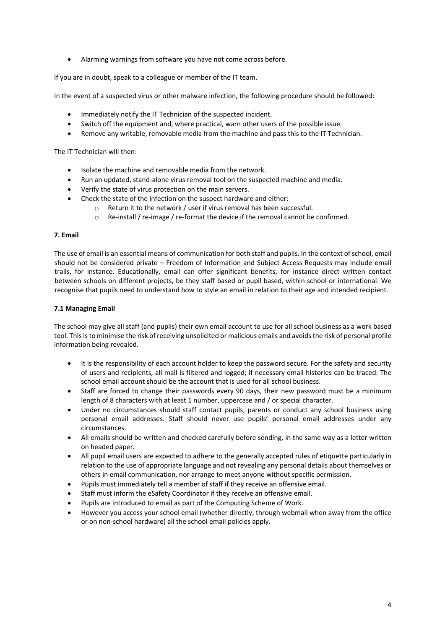• Alarming warnings from software you have not come across before.

If you are in doubt, speak to a colleague or member of the IT team.

In the event of a suspected virus or other malware infection, the following procedure should be followed:

- Immediately notify the IT Technician of the suspected incident.
- Switch off the equipment and, where practical, warn other users of the possible issue.
- Remove any writable, removable media from the machine and pass this to the IT Technician.

The IT Technician will then:

- Isolate the machine and removable media from the network.
- Run an updated, stand-alone virus removal tool on the suspected machine and media.
- Verify the state of virus protection on the main servers.
- Check the state of the infection on the suspect hardware and either:
	- o Return it to the network / user if virus removal has been successful.
	- $\circ$  Re-install / re-image / re-format the device if the removal cannot be confirmed.

#### **7. Email**

The use of email is an essential means of communication for both staff and pupils. In the context of school, email should not be considered private – Freedom of Information and Subject Access Requests may include email trails, for instance. Educationally, email can offer significant benefits, for instance direct written contact between schools on different projects, be they staff based or pupil based, within school or international. We recognise that pupils need to understand how to style an email in relation to their age and intended recipient.

#### **7.1 Managing Email**

The school may give all staff (and pupils) their own email account to use for all school business as a work based tool. This is to minimise the risk of receiving unsolicited or malicious emails and avoids the risk of personal profile information being revealed.

- It is the responsibility of each account holder to keep the password secure. For the safety and security of users and recipients, all mail is filtered and logged; if necessary email histories can be traced. The school email account should be the account that is used for all school business.
- Staff are forced to change their passwords every 90 days, their new password must be a minimum length of 8 characters with at least 1 number, uppercase and / or special character.
- Under no circumstances should staff contact pupils, parents or conduct any school business using personal email addresses. Staff should never use pupils' personal email addresses under any circumstances.
- All emails should be written and checked carefully before sending, in the same way as a letter written on headed paper.
- All pupil email users are expected to adhere to the generally accepted rules of etiquette particularly in relation to the use of appropriate language and not revealing any personal details about themselves or others in email communication, nor arrange to meet anyone without specific permission.
- Pupils must immediately tell a member of staff if they receive an offensive email.
- Staff must inform the eSafety Coordinator if they receive an offensive email.
- Pupils are introduced to email as part of the Computing Scheme of Work.
- However you access your school email (whether directly, through webmail when away from the office or on non-school hardware) all the school email policies apply.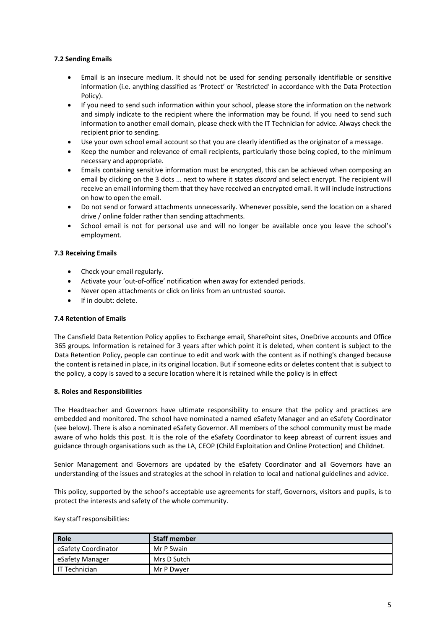# **7.2 Sending Emails**

- Email is an insecure medium. It should not be used for sending personally identifiable or sensitive information (i.e. anything classified as 'Protect' or 'Restricted' in accordance with the Data Protection Policy).
- If you need to send such information within your school, please store the information on the network and simply indicate to the recipient where the information may be found. If you need to send such information to another email domain, please check with the IT Technician for advice. Always check the recipient prior to sending.
- Use your own school email account so that you are clearly identified as the originator of a message.
- Keep the number and relevance of email recipients, particularly those being copied, to the minimum necessary and appropriate.
- Emails containing sensitive information must be encrypted, this can be achieved when composing an email by clicking on the 3 dots … next to where it states *discard* and select encrypt. The recipient will receive an email informing them that they have received an encrypted email. It will include instructions on how to open the email.
- Do not send or forward attachments unnecessarily. Whenever possible, send the location on a shared drive / online folder rather than sending attachments.
- School email is not for personal use and will no longer be available once you leave the school's employment.

# **7.3 Receiving Emails**

- Check your email regularly.
- Activate your 'out-of-office' notification when away for extended periods.
- Never open attachments or click on links from an untrusted source.
- If in doubt: delete.

#### **7.4 Retention of Emails**

The Cansfield Data Retention Policy applies to Exchange email, SharePoint sites, OneDrive accounts and Office 365 groups. Information is retained for 3 years after which point it is deleted, when content is subject to the Data Retention Policy, people can continue to edit and work with the content as if nothing's changed because the content is retained in place, in its original location. But if someone edits or deletes content that is subject to the policy, a copy is saved to a secure location where it is retained while the policy is in effect

#### **8. Roles and Responsibilities**

The Headteacher and Governors have ultimate responsibility to ensure that the policy and practices are embedded and monitored. The school have nominated a named eSafety Manager and an eSafety Coordinator (see below). There is also a nominated eSafety Governor. All members of the school community must be made aware of who holds this post. It is the role of the eSafety Coordinator to keep abreast of current issues and guidance through organisations such as the LA, CEOP (Child Exploitation and Online Protection) and Childnet.

Senior Management and Governors are updated by the eSafety Coordinator and all Governors have an understanding of the issues and strategies at the school in relation to local and national guidelines and advice.

This policy, supported by the school's acceptable use agreements for staff, Governors, visitors and pupils, is to protect the interests and safety of the whole community.

Key staff responsibilities:

| Role                | <b>Staff member</b> |
|---------------------|---------------------|
| eSafety Coordinator | Mr P Swain          |
| eSafety Manager     | Mrs D Sutch         |
| IT Technician       | Mr P Dwyer          |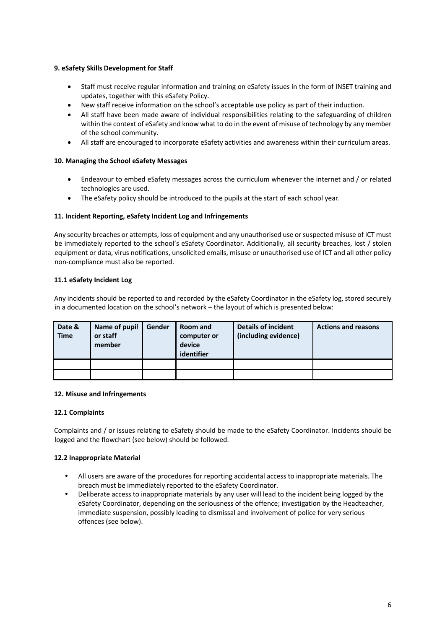# **9. eSafety Skills Development for Staff**

- Staff must receive regular information and training on eSafety issues in the form of INSET training and updates, together with this eSafety Policy.
- New staff receive information on the school's acceptable use policy as part of their induction.
- All staff have been made aware of individual responsibilities relating to the safeguarding of children within the context of eSafety and know what to do in the event of misuse of technology by any member of the school community.
- All staff are encouraged to incorporate eSafety activities and awareness within their curriculum areas.

# **10. Managing the School eSafety Messages**

- Endeavour to embed eSafety messages across the curriculum whenever the internet and / or related technologies are used.
- The eSafety policy should be introduced to the pupils at the start of each school year.

# **11. Incident Reporting, eSafety Incident Log and Infringements**

Any security breaches or attempts, loss of equipment and any unauthorised use or suspected misuse of ICT must be immediately reported to the school's eSafety Coordinator. Additionally, all security breaches, lost / stolen equipment or data, virus notifications, unsolicited emails, misuse or unauthorised use of ICT and all other policy non-compliance must also be reported.

# **11.1 eSafety Incident Log**

Any incidents should be reported to and recorded by the eSafety Coordinator in the eSafety log, stored securely in a documented location on the school's network – the layout of which is presented below:

| Date &<br><b>Time</b> | Name of pupil<br>or staff<br>member | Gender | Room and<br>computer or<br>device<br>identifier | <b>Details of incident</b><br>(including evidence) | <b>Actions and reasons</b> |
|-----------------------|-------------------------------------|--------|-------------------------------------------------|----------------------------------------------------|----------------------------|
|                       |                                     |        |                                                 |                                                    |                            |
|                       |                                     |        |                                                 |                                                    |                            |

#### **12. Misuse and Infringements**

#### **12.1 Complaints**

Complaints and / or issues relating to eSafety should be made to the eSafety Coordinator. Incidents should be logged and the flowchart (see below) should be followed.

#### **12.2 Inappropriate Material**

- All users are aware of the procedures for reporting accidental access to inappropriate materials. The breach must be immediately reported to the eSafety Coordinator.
- Deliberate access to inappropriate materials by any user will lead to the incident being logged by the eSafety Coordinator, depending on the seriousness of the offence; investigation by the Headteacher, immediate suspension, possibly leading to dismissal and involvement of police for very serious offences (see below).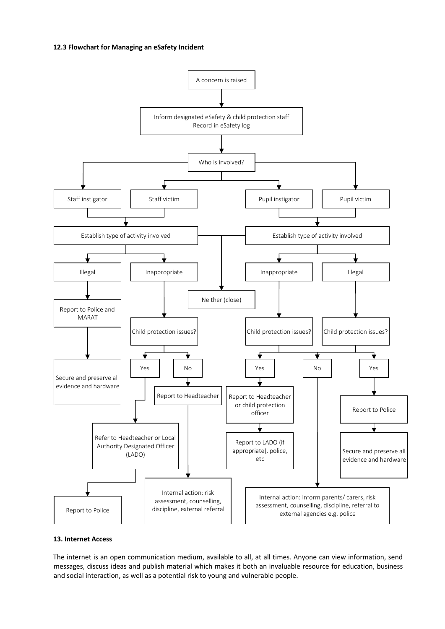#### **12.3 Flowchart for Managing an eSafety Incident**



## **13. Internet Access**

The internet is an open communication medium, available to all, at all times. Anyone can view information, send messages, discuss ideas and publish material which makes it both an invaluable resource for education, business and social interaction, as well as a potential risk to young and vulnerable people.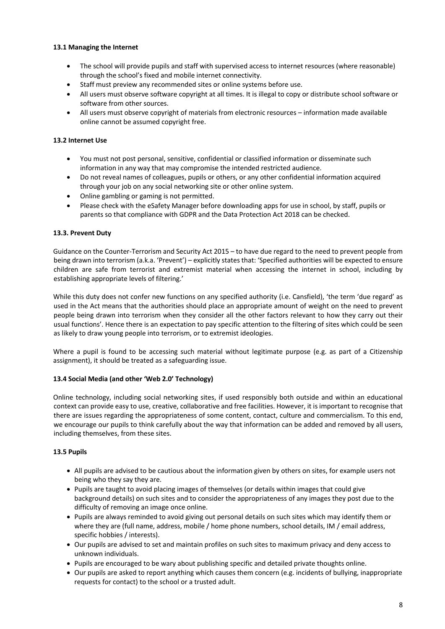# **13.1 Managing the Internet**

- The school will provide pupils and staff with supervised access to internet resources (where reasonable) through the school's fixed and mobile internet connectivity.
- Staff must preview any recommended sites or online systems before use.
- All users must observe software copyright at all times. It is illegal to copy or distribute school software or software from other sources.
- All users must observe copyright of materials from electronic resources information made available online cannot be assumed copyright free.

## **13.2 Internet Use**

- You must not post personal, sensitive, confidential or classified information or disseminate such information in any way that may compromise the intended restricted audience.
- Do not reveal names of colleagues, pupils or others, or any other confidential information acquired through your job on any social networking site or other online system.
- Online gambling or gaming is not permitted.
- Please check with the eSafety Manager before downloading apps for use in school, by staff, pupils or parents so that compliance with GDPR and the Data Protection Act 2018 can be checked.

# **13.3. Prevent Duty**

Guidance on the Counter-Terrorism and Security Act 2015 – to have due regard to the need to prevent people from being drawn into terrorism (a.k.a. 'Prevent') – explicitly states that: 'Specified authorities will be expected to ensure children are safe from terrorist and extremist material when accessing the internet in school, including by establishing appropriate levels of filtering.'

While this duty does not confer new functions on any specified authority (i.e. Cansfield), 'the term 'due regard' as used in the Act means that the authorities should place an appropriate amount of weight on the need to prevent people being drawn into terrorism when they consider all the other factors relevant to how they carry out their usual functions'. Hence there is an expectation to pay specific attention to the filtering of sites which could be seen as likely to draw young people into terrorism, or to extremist ideologies.

Where a pupil is found to be accessing such material without legitimate purpose (e.g. as part of a Citizenship assignment), it should be treated as a safeguarding issue.

#### **13.4 Social Media (and other 'Web 2.0' Technology)**

Online technology, including social networking sites, if used responsibly both outside and within an educational context can provide easy to use, creative, collaborative and free facilities. However, it is important to recognise that there are issues regarding the appropriateness of some content, contact, culture and commercialism. To this end, we encourage our pupils to think carefully about the way that information can be added and removed by all users, including themselves, from these sites.

# **13.5 Pupils**

- All pupils are advised to be cautious about the information given by others on sites, for example users not being who they say they are.
- Pupils are taught to avoid placing images of themselves (or details within images that could give background details) on such sites and to consider the appropriateness of any images they post due to the difficulty of removing an image once online.
- Pupils are always reminded to avoid giving out personal details on such sites which may identify them or where they are (full name, address, mobile / home phone numbers, school details, IM / email address, specific hobbies / interests).
- Our pupils are advised to set and maintain profiles on such sites to maximum privacy and deny access to unknown individuals.
- Pupils are encouraged to be wary about publishing specific and detailed private thoughts online.
- Our pupils are asked to report anything which causes them concern (e.g. incidents of bullying, inappropriate requests for contact) to the school or a trusted adult.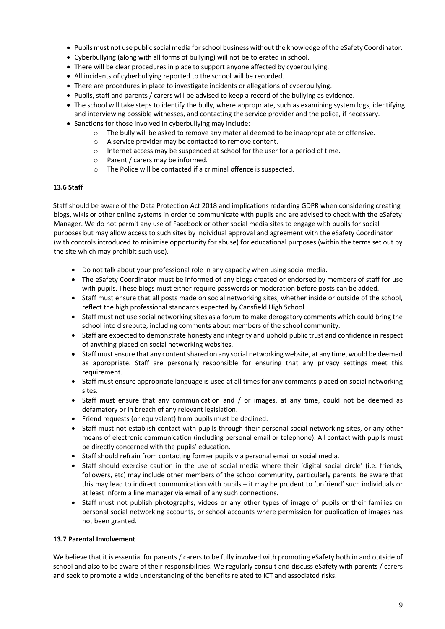- Pupils must not use public social media for school business without the knowledge of the eSafety Coordinator.
- Cyberbullying (along with all forms of bullying) will not be tolerated in school.
- There will be clear procedures in place to support anyone affected by cyberbullying.
- All incidents of cyberbullying reported to the school will be recorded.
- There are procedures in place to investigate incidents or allegations of cyberbullying.
- Pupils, staff and parents / carers will be advised to keep a record of the bullying as evidence.
- The school will take steps to identify the bully, where appropriate, such as examining system logs, identifying and interviewing possible witnesses, and contacting the service provider and the police, if necessary.
- Sanctions for those involved in cyberbullying may include:
	- o The bully will be asked to remove any material deemed to be inappropriate or offensive.
	- o A service provider may be contacted to remove content.
	- o Internet access may be suspended at school for the user for a period of time.
	- o Parent / carers may be informed.
	- o The Police will be contacted if a criminal offence is suspected.

# **13.6 Staff**

Staff should be aware of the Data Protection Act 2018 and implications redarding GDPR when considering creating blogs, wikis or other online systems in order to communicate with pupils and are advised to check with the eSafety Manager. We do not permit any use of Facebook or other social media sites to engage with pupils for social purposes but may allow access to such sites by individual approval and agreement with the eSafety Coordinator (with controls introduced to minimise opportunity for abuse) for educational purposes (within the terms set out by the site which may prohibit such use).

- Do not talk about your professional role in any capacity when using social media.
- The eSafety Coordinator must be informed of any blogs created or endorsed by members of staff for use with pupils. These blogs must either require passwords or moderation before posts can be added.
- Staff must ensure that all posts made on social networking sites, whether inside or outside of the school, reflect the high professional standards expected by Cansfield High School.
- Staff must not use social networking sites as a forum to make derogatory comments which could bring the school into disrepute, including comments about members of the school community.
- Staff are expected to demonstrate honesty and integrity and uphold public trust and confidence in respect of anything placed on social networking websites.
- Staff must ensure that any content shared on any social networking website, at any time, would be deemed as appropriate. Staff are personally responsible for ensuring that any privacy settings meet this requirement.
- Staff must ensure appropriate language is used at all times for any comments placed on social networking sites.
- Staff must ensure that any communication and / or images, at any time, could not be deemed as defamatory or in breach of any relevant legislation.
- Friend requests (or equivalent) from pupils must be declined.
- Staff must not establish contact with pupils through their personal social networking sites, or any other means of electronic communication (including personal email or telephone). All contact with pupils must be directly concerned with the pupils' education.
- Staff should refrain from contacting former pupils via personal email or social media.
- Staff should exercise caution in the use of social media where their 'digital social circle' (i.e. friends, followers, etc) may include other members of the school community, particularly parents. Be aware that this may lead to indirect communication with pupils – it may be prudent to 'unfriend' such individuals or at least inform a line manager via email of any such connections.
- Staff must not publish photographs, videos or any other types of image of pupils or their families on personal social networking accounts, or school accounts where permission for publication of images has not been granted.

## **13.7 Parental Involvement**

We believe that it is essential for parents / carers to be fully involved with promoting eSafety both in and outside of school and also to be aware of their responsibilities. We regularly consult and discuss eSafety with parents / carers and seek to promote a wide understanding of the benefits related to ICT and associated risks.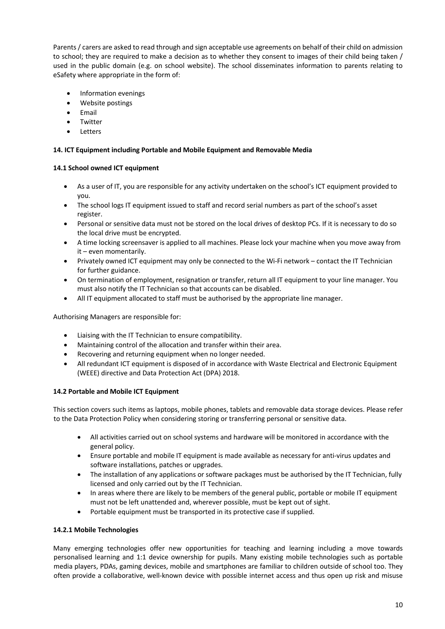Parents / carers are asked to read through and sign acceptable use agreements on behalf of their child on admission to school; they are required to make a decision as to whether they consent to images of their child being taken / used in the public domain (e.g. on school website). The school disseminates information to parents relating to eSafety where appropriate in the form of:

- Information evenings
- Website postings
- Email
- **Twitter**
- Letters

# **14. ICT Equipment including Portable and Mobile Equipment and Removable Media**

# **14.1 School owned ICT equipment**

- As a user of IT, you are responsible for any activity undertaken on the school's ICT equipment provided to you.
- The school logs IT equipment issued to staff and record serial numbers as part of the school's asset register.
- Personal or sensitive data must not be stored on the local drives of desktop PCs. If it is necessary to do so the local drive must be encrypted.
- A time locking screensaver is applied to all machines. Please lock your machine when you move away from it – even momentarily.
- Privately owned ICT equipment may only be connected to the Wi-Fi network contact the IT Technician for further guidance.
- On termination of employment, resignation or transfer, return all IT equipment to your line manager. You must also notify the IT Technician so that accounts can be disabled.
- All IT equipment allocated to staff must be authorised by the appropriate line manager.

Authorising Managers are responsible for:

- Liaising with the IT Technician to ensure compatibility.
- Maintaining control of the allocation and transfer within their area.
- Recovering and returning equipment when no longer needed.
- All redundant ICT equipment is disposed of in accordance with Waste Electrical and Electronic Equipment (WEEE) directive and Data Protection Act (DPA) 2018.

# **14.2 Portable and Mobile ICT Equipment**

This section covers such items as laptops, mobile phones, tablets and removable data storage devices. Please refer to the Data Protection Policy when considering storing or transferring personal or sensitive data.

- All activities carried out on school systems and hardware will be monitored in accordance with the general policy.
- Ensure portable and mobile IT equipment is made available as necessary for anti-virus updates and software installations, patches or upgrades.
- The installation of any applications or software packages must be authorised by the IT Technician, fully licensed and only carried out by the IT Technician.
- In areas where there are likely to be members of the general public, portable or mobile IT equipment must not be left unattended and, wherever possible, must be kept out of sight.
- Portable equipment must be transported in its protective case if supplied.

#### **14.2.1 Mobile Technologies**

Many emerging technologies offer new opportunities for teaching and learning including a move towards personalised learning and 1:1 device ownership for pupils. Many existing mobile technologies such as portable media players, PDAs, gaming devices, mobile and smartphones are familiar to children outside of school too. They often provide a collaborative, well-known device with possible internet access and thus open up risk and misuse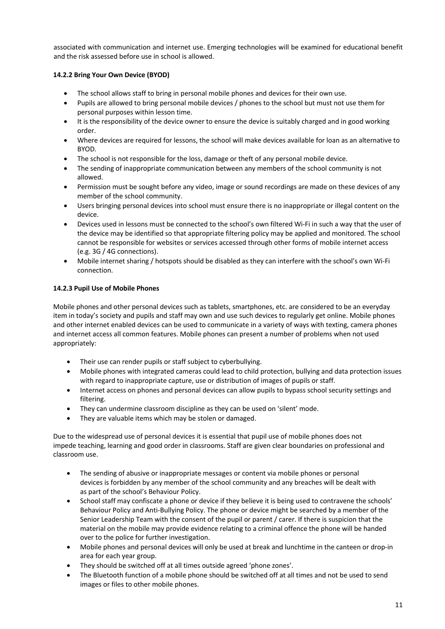associated with communication and internet use. Emerging technologies will be examined for educational benefit and the risk assessed before use in school is allowed.

# **14.2.2 Bring Your Own Device (BYOD)**

- The school allows staff to bring in personal mobile phones and devices for their own use.
- Pupils are allowed to bring personal mobile devices / phones to the school but must not use them for personal purposes within lesson time.
- It is the responsibility of the device owner to ensure the device is suitably charged and in good working order.
- Where devices are required for lessons, the school will make devices available for loan as an alternative to BYOD.
- The school is not responsible for the loss, damage or theft of any personal mobile device.
- The sending of inappropriate communication between any members of the school community is not allowed.
- Permission must be sought before any video, image or sound recordings are made on these devices of any member of the school community.
- Users bringing personal devices into school must ensure there is no inappropriate or illegal content on the device.
- Devices used in lessons must be connected to the school's own filtered Wi-Fi in such a way that the user of the device may be identified so that appropriate filtering policy may be applied and monitored. The school cannot be responsible for websites or services accessed through other forms of mobile internet access (e.g. 3G / 4G connections).
- Mobile internet sharing / hotspots should be disabled as they can interfere with the school's own Wi-Fi connection.

# **14.2.3 Pupil Use of Mobile Phones**

Mobile phones and other personal devices such as tablets, smartphones, etc. are considered to be an everyday item in today's society and pupils and staff may own and use such devices to regularly get online. Mobile phones and other internet enabled devices can be used to communicate in a variety of ways with texting, camera phones and internet access all common features. Mobile phones can present a number of problems when not used appropriately:

- Their use can render pupils or staff subject to cyberbullying.
- Mobile phones with integrated cameras could lead to child protection, bullying and data protection issues with regard to inappropriate capture, use or distribution of images of pupils or staff.
- Internet access on phones and personal devices can allow pupils to bypass school security settings and filtering.
- They can undermine classroom discipline as they can be used on 'silent' mode.
- They are valuable items which may be stolen or damaged.

Due to the widespread use of personal devices it is essential that pupil use of mobile phones does not impede teaching, learning and good order in classrooms. Staff are given clear boundaries on professional and classroom use.

- The sending of abusive or inappropriate messages or content via mobile phones or personal devices is forbidden by any member of the school community and any breaches will be dealt with as part of the school's Behaviour Policy.
- School staff may confiscate a phone or device if they believe it is being used to contravene the schools' Behaviour Policy and Anti-Bullying Policy. The phone or device might be searched by a member of the Senior Leadership Team with the consent of the pupil or parent / carer. If there is suspicion that the material on the mobile may provide evidence relating to a criminal offence the phone will be handed over to the police for further investigation.
- Mobile phones and personal devices will only be used at break and lunchtime in the canteen or drop-in area for each year group.
- They should be switched off at all times outside agreed 'phone zones'.
- The Bluetooth function of a mobile phone should be switched off at all times and not be used to send images or files to other mobile phones.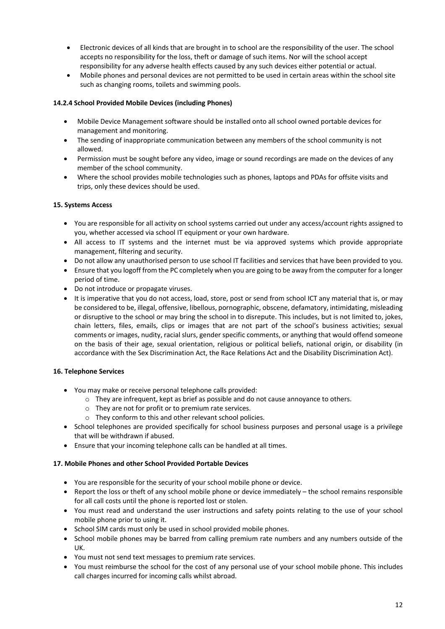- Electronic devices of all kinds that are brought in to school are the responsibility of the user. The school accepts no responsibility for the loss, theft or damage of such items. Nor will the school accept responsibility for any adverse health effects caused by any such devices either potential or actual.
- Mobile phones and personal devices are not permitted to be used in certain areas within the school site such as changing rooms, toilets and swimming pools.

# **14.2.4 School Provided Mobile Devices (including Phones)**

- Mobile Device Management software should be installed onto all school owned portable devices for management and monitoring.
- The sending of inappropriate communication between any members of the school community is not allowed.
- Permission must be sought before any video, image or sound recordings are made on the devices of any member of the school community.
- Where the school provides mobile technologies such as phones, laptops and PDAs for offsite visits and trips, only these devices should be used.

#### **15. Systems Access**

- You are responsible for all activity on school systems carried out under any access/account rights assigned to you, whether accessed via school IT equipment or your own hardware.
- All access to IT systems and the internet must be via approved systems which provide appropriate management, filtering and security.
- Do not allow any unauthorised person to use school IT facilities and services that have been provided to you.
- Ensure that you logoff from the PC completely when you are going to be away from the computer for a longer period of time.
- Do not introduce or propagate viruses.
- It is imperative that you do not access, load, store, post or send from school ICT any material that is, or may be considered to be, illegal, offensive, libellous, pornographic, obscene, defamatory, intimidating, misleading or disruptive to the school or may bring the school in to disrepute. This includes, but is not limited to, jokes, chain letters, files, emails, clips or images that are not part of the school's business activities; sexual comments or images, nudity, racial slurs, gender specific comments, or anything that would offend someone on the basis of their age, sexual orientation, religious or political beliefs, national origin, or disability (in accordance with the Sex Discrimination Act, the Race Relations Act and the Disability Discrimination Act).

#### **16. Telephone Services**

- You may make or receive personal telephone calls provided:
	- $\circ$  They are infrequent, kept as brief as possible and do not cause annoyance to others.
	- o They are not for profit or to premium rate services.
	- o They conform to this and other relevant school policies.
- School telephones are provided specifically for school business purposes and personal usage is a privilege that will be withdrawn if abused.
- Ensure that your incoming telephone calls can be handled at all times.

## **17. Mobile Phones and other School Provided Portable Devices**

- You are responsible for the security of your school mobile phone or device.
- Report the loss or theft of any school mobile phone or device immediately the school remains responsible for all call costs until the phone is reported lost or stolen.
- You must read and understand the user instructions and safety points relating to the use of your school mobile phone prior to using it.
- School SIM cards must only be used in school provided mobile phones.
- School mobile phones may be barred from calling premium rate numbers and any numbers outside of the UK.
- You must not send text messages to premium rate services.
- You must reimburse the school for the cost of any personal use of your school mobile phone. This includes call charges incurred for incoming calls whilst abroad.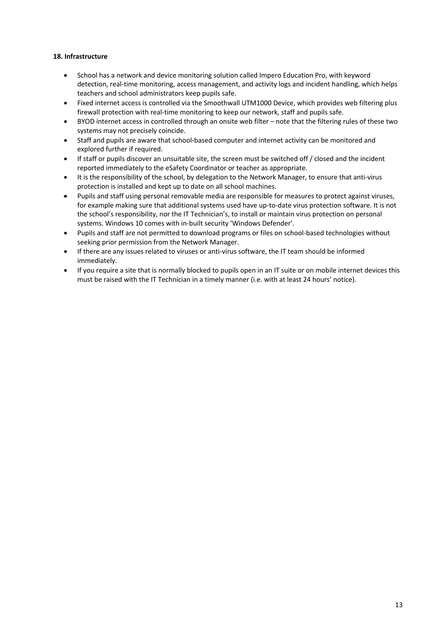# **18. Infrastructure**

- School has a network and device monitoring solution called Impero Education Pro, with keyword detection, real-time monitoring, access management, and activity logs and incident handling, which helps teachers and school administrators keep pupils safe.
- Fixed internet access is controlled via the Smoothwall UTM1000 Device, which provides web filtering plus firewall protection with real-time monitoring to keep our network, staff and pupils safe.
- BYOD internet access in controlled through an onsite web filter note that the filtering rules of these two systems may not precisely coincide.
- Staff and pupils are aware that school-based computer and internet activity can be monitored and explored further if required.
- If staff or pupils discover an unsuitable site, the screen must be switched off / closed and the incident reported immediately to the eSafety Coordinator or teacher as appropriate.
- It is the responsibility of the school, by delegation to the Network Manager, to ensure that anti-virus protection is installed and kept up to date on all school machines.
- Pupils and staff using personal removable media are responsible for measures to protect against viruses, for example making sure that additional systems used have up-to-date virus protection software. It is not the school's responsibility, nor the IT Technician's, to install or maintain virus protection on personal systems. Windows 10 comes with in-built security 'Windows Defender'.
- Pupils and staff are not permitted to download programs or files on school-based technologies without seeking prior permission from the Network Manager.
- If there are any issues related to viruses or anti-virus software, the IT team should be informed immediately.
- If you require a site that is normally blocked to pupils open in an IT suite or on mobile internet devices this must be raised with the IT Technician in a timely manner (i.e. with at least 24 hours' notice).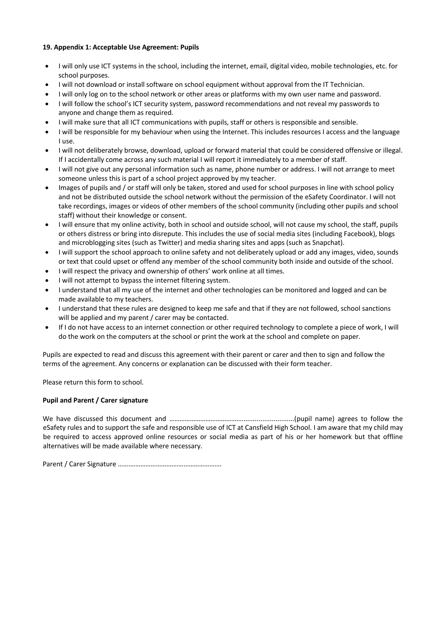# **19. Appendix 1: Acceptable Use Agreement: Pupils**

- I will only use ICT systems in the school, including the internet, email, digital video, mobile technologies, etc. for school purposes.
- I will not download or install software on school equipment without approval from the IT Technician.
- I will only log on to the school network or other areas or platforms with my own user name and password.
- I will follow the school's ICT security system, password recommendations and not reveal my passwords to anyone and change them as required.
- I will make sure that all ICT communications with pupils, staff or others is responsible and sensible.
- I will be responsible for my behaviour when using the Internet. This includes resources I access and the language I use.
- I will not deliberately browse, download, upload or forward material that could be considered offensive or illegal. If I accidentally come across any such material I will report it immediately to a member of staff.
- I will not give out any personal information such as name, phone number or address. I will not arrange to meet someone unless this is part of a school project approved by my teacher.
- Images of pupils and / or staff will only be taken, stored and used for school purposes in line with school policy and not be distributed outside the school network without the permission of the eSafety Coordinator. I will not take recordings, images or videos of other members of the school community (including other pupils and school staff) without their knowledge or consent.
- I will ensure that my online activity, both in school and outside school, will not cause my school, the staff, pupils or others distress or bring into disrepute. This includes the use of social media sites (including Facebook), blogs and microblogging sites (such as Twitter) and media sharing sites and apps (such as Snapchat).
- I will support the school approach to online safety and not deliberately upload or add any images, video, sounds or text that could upset or offend any member of the school community both inside and outside of the school.
- I will respect the privacy and ownership of others' work online at all times.
- I will not attempt to bypass the internet filtering system.
- I understand that all my use of the internet and other technologies can be monitored and logged and can be made available to my teachers.
- I understand that these rules are designed to keep me safe and that if they are not followed, school sanctions will be applied and my parent / carer may be contacted.
- If I do not have access to an internet connection or other required technology to complete a piece of work, I will do the work on the computers at the school or print the work at the school and complete on paper.

Pupils are expected to read and discuss this agreement with their parent or carer and then to sign and follow the terms of the agreement. Any concerns or explanation can be discussed with their form teacher.

Please return this form to school.

#### **Pupil and Parent / Carer signature**

We have discussed this document and ………………………………………………………………………(pupil name) agrees to follow the eSafety rules and to support the safe and responsible use of ICT at Cansfield High School. I am aware that my child may be required to access approved online resources or social media as part of his or her homework but that offline alternatives will be made available where necessary.

Parent / Carer Signature …….………………….………………………….